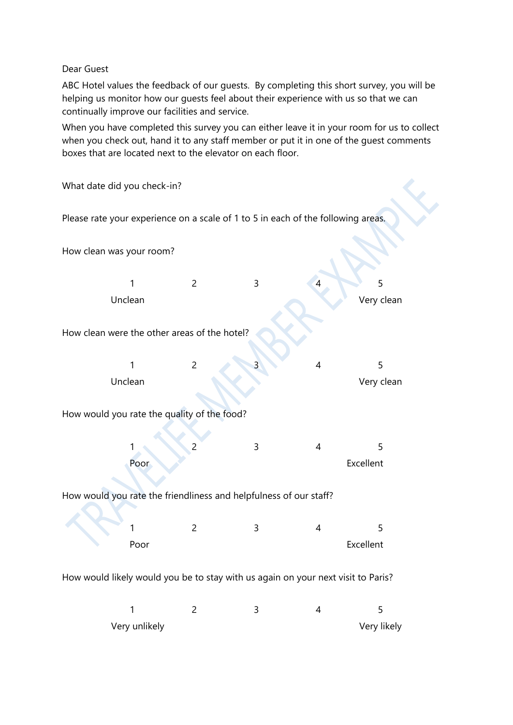## Dear Guest

ABC Hotel values the feedback of our guests. By completing this short survey, you will be helping us monitor how our guests feel about their experience with us so that we can continually improve our facilities and service.

When you have completed this survey you can either leave it in your room for us to collect when you check out, hand it to any staff member or put it in one of the guest comments boxes that are located next to the elevator on each floor.